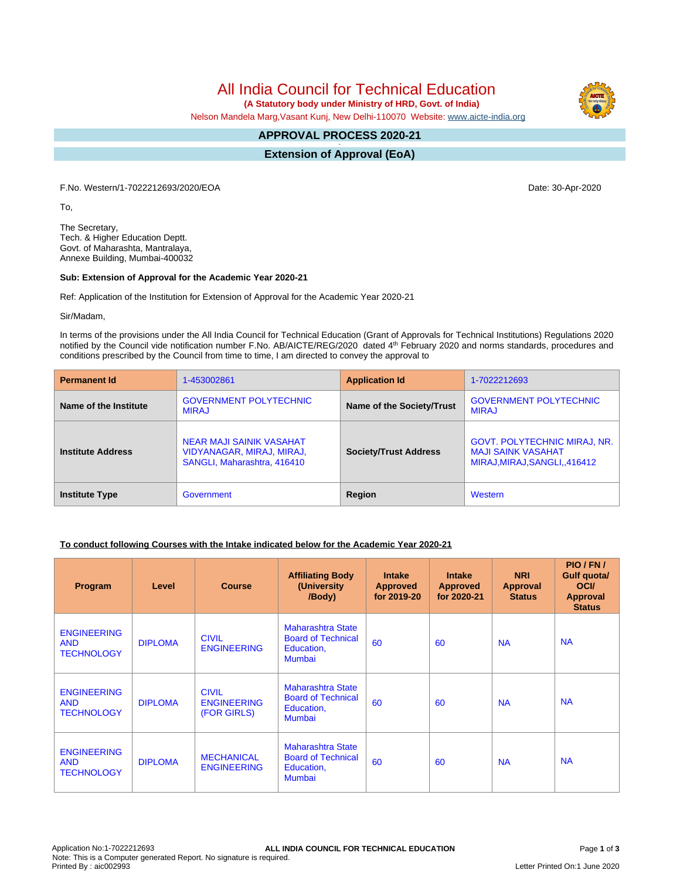All India Council for Technical Education

 **(A Statutory body under Ministry of HRD, Govt. of India)**

Nelson Mandela Marg,Vasant Kunj, New Delhi-110070 Website: [www.aicte-india.org](http://www.aicte-india.org)

#### **APPROVAL PROCESS 2020-21 -**

**Extension of Approval (EoA)**

F.No. Western/1-7022212693/2020/EOA Date: 30-Apr-2020

To,

The Secretary, Tech. & Higher Education Deptt. Govt. of Maharashta, Mantralaya, Annexe Building, Mumbai-400032

### **Sub: Extension of Approval for the Academic Year 2020-21**

Ref: Application of the Institution for Extension of Approval for the Academic Year 2020-21

Sir/Madam,

In terms of the provisions under the All India Council for Technical Education (Grant of Approvals for Technical Institutions) Regulations 2020 notified by the Council vide notification number F.No. AB/AICTE/REG/2020 dated 4<sup>th</sup> February 2020 and norms standards, procedures and conditions prescribed by the Council from time to time, I am directed to convey the approval to

| <b>Permanent Id</b>      | 1-453002861                                                                          | <b>Application Id</b>        | 1-7022212693                                                                                     |
|--------------------------|--------------------------------------------------------------------------------------|------------------------------|--------------------------------------------------------------------------------------------------|
| Name of the Institute    | <b>GOVERNMENT POLYTECHNIC</b><br><b>MIRAJ</b>                                        | Name of the Society/Trust    | <b>GOVERNMENT POLYTECHNIC</b><br><b>MIRAJ</b>                                                    |
| <b>Institute Address</b> | NEAR MAJI SAINIK VASAHAT<br>VIDYANAGAR, MIRAJ, MIRAJ,<br>SANGLI, Maharashtra, 416410 | <b>Society/Trust Address</b> | <b>GOVT. POLYTECHNIC MIRAJ, NR.</b><br><b>MAJI SAINK VASAHAT</b><br>MIRAJ, MIRAJ, SANGLI, 416412 |
| <b>Institute Type</b>    | Government                                                                           | Region                       | Western                                                                                          |

## **To conduct following Courses with the Intake indicated below for the Academic Year 2020-21**

| Program                                               | Level          | <b>Course</b>                                     | <b>Affiliating Body</b><br>(University<br>/Body)                              | <b>Intake</b><br><b>Approved</b><br>for 2019-20 | <b>Intake</b><br><b>Approved</b><br>for 2020-21 | <b>NRI</b><br>Approval<br><b>Status</b> | PIO/FN/<br>Gulf quota/<br><b>OCI</b><br><b>Approval</b><br><b>Status</b> |
|-------------------------------------------------------|----------------|---------------------------------------------------|-------------------------------------------------------------------------------|-------------------------------------------------|-------------------------------------------------|-----------------------------------------|--------------------------------------------------------------------------|
| <b>ENGINEERING</b><br><b>AND</b><br><b>TECHNOLOGY</b> | <b>DIPLOMA</b> | <b>CIVIL</b><br><b>ENGINEERING</b>                | <b>Maharashtra State</b><br><b>Board of Technical</b><br>Education,<br>Mumbai | 60                                              | 60                                              | <b>NA</b>                               | <b>NA</b>                                                                |
| <b>ENGINEERING</b><br><b>AND</b><br><b>TECHNOLOGY</b> | <b>DIPLOMA</b> | <b>CIVIL</b><br><b>ENGINEERING</b><br>(FOR GIRLS) | <b>Maharashtra State</b><br><b>Board of Technical</b><br>Education,<br>Mumbai | 60                                              | 60                                              | <b>NA</b>                               | <b>NA</b>                                                                |
| <b>ENGINEERING</b><br><b>AND</b><br><b>TECHNOLOGY</b> | <b>DIPLOMA</b> | <b>MECHANICAL</b><br><b>ENGINEERING</b>           | Maharashtra State<br><b>Board of Technical</b><br>Education,<br>Mumbai        | 60                                              | 60                                              | <b>NA</b>                               | <b>NA</b>                                                                |

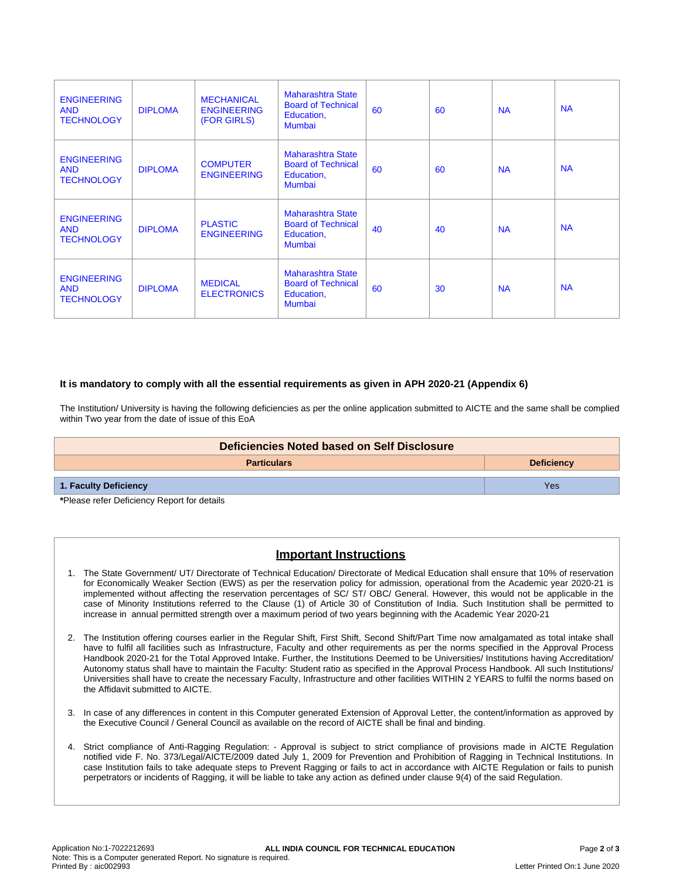| <b>ENGINEERING</b><br><b>AND</b><br><b>TECHNOLOGY</b> | <b>DIPLOMA</b> | <b>MECHANICAL</b><br><b>ENGINEERING</b><br>(FOR GIRLS) | <b>Maharashtra State</b><br><b>Board of Technical</b><br>Education,<br><b>Mumbai</b> | 60 | 60 | <b>NA</b> | <b>NA</b> |
|-------------------------------------------------------|----------------|--------------------------------------------------------|--------------------------------------------------------------------------------------|----|----|-----------|-----------|
| <b>ENGINEERING</b><br><b>AND</b><br><b>TECHNOLOGY</b> | <b>DIPLOMA</b> | <b>COMPUTER</b><br><b>ENGINEERING</b>                  | <b>Maharashtra State</b><br><b>Board of Technical</b><br>Education,<br><b>Mumbai</b> | 60 | 60 | <b>NA</b> | <b>NA</b> |
| <b>ENGINEERING</b><br><b>AND</b><br><b>TECHNOLOGY</b> | <b>DIPLOMA</b> | <b>PLASTIC</b><br><b>ENGINEERING</b>                   | <b>Maharashtra State</b><br><b>Board of Technical</b><br>Education,<br>Mumbai        | 40 | 40 | <b>NA</b> | <b>NA</b> |
| <b>ENGINEERING</b><br><b>AND</b><br><b>TECHNOLOGY</b> | <b>DIPLOMA</b> | <b>MEDICAL</b><br><b>ELECTRONICS</b>                   | <b>Maharashtra State</b><br><b>Board of Technical</b><br>Education,<br><b>Mumbai</b> | 60 | 30 | <b>NA</b> | <b>NA</b> |

### **It is mandatory to comply with all the essential requirements as given in APH 2020-21 (Appendix 6)**

The Institution/ University is having the following deficiencies as per the online application submitted to AICTE and the same shall be complied within Two year from the date of issue of this EoA

| Deficiencies Noted based on Self Disclosure |     |  |  |  |
|---------------------------------------------|-----|--|--|--|
| <b>Particulars</b><br><b>Deficiency</b>     |     |  |  |  |
| 1. Faculty Deficiency                       | Yes |  |  |  |

**\***Please refer Deficiency Report for details

# **Important Instructions**

- 1. The State Government/ UT/ Directorate of Technical Education/ Directorate of Medical Education shall ensure that 10% of reservation for Economically Weaker Section (EWS) as per the reservation policy for admission, operational from the Academic year 2020-21 is implemented without affecting the reservation percentages of SC/ ST/ OBC/ General. However, this would not be applicable in the case of Minority Institutions referred to the Clause (1) of Article 30 of Constitution of India. Such Institution shall be permitted to increase in annual permitted strength over a maximum period of two years beginning with the Academic Year 2020-21
- 2. The Institution offering courses earlier in the Regular Shift, First Shift, Second Shift/Part Time now amalgamated as total intake shall have to fulfil all facilities such as Infrastructure, Faculty and other requirements as per the norms specified in the Approval Process Handbook 2020-21 for the Total Approved Intake. Further, the Institutions Deemed to be Universities/ Institutions having Accreditation/ Autonomy status shall have to maintain the Faculty: Student ratio as specified in the Approval Process Handbook. All such Institutions/ Universities shall have to create the necessary Faculty, Infrastructure and other facilities WITHIN 2 YEARS to fulfil the norms based on the Affidavit submitted to AICTE.
- 3. In case of any differences in content in this Computer generated Extension of Approval Letter, the content/information as approved by the Executive Council / General Council as available on the record of AICTE shall be final and binding.
- 4. Strict compliance of Anti-Ragging Regulation: Approval is subject to strict compliance of provisions made in AICTE Regulation notified vide F. No. 373/Legal/AICTE/2009 dated July 1, 2009 for Prevention and Prohibition of Ragging in Technical Institutions. In case Institution fails to take adequate steps to Prevent Ragging or fails to act in accordance with AICTE Regulation or fails to punish perpetrators or incidents of Ragging, it will be liable to take any action as defined under clause 9(4) of the said Regulation.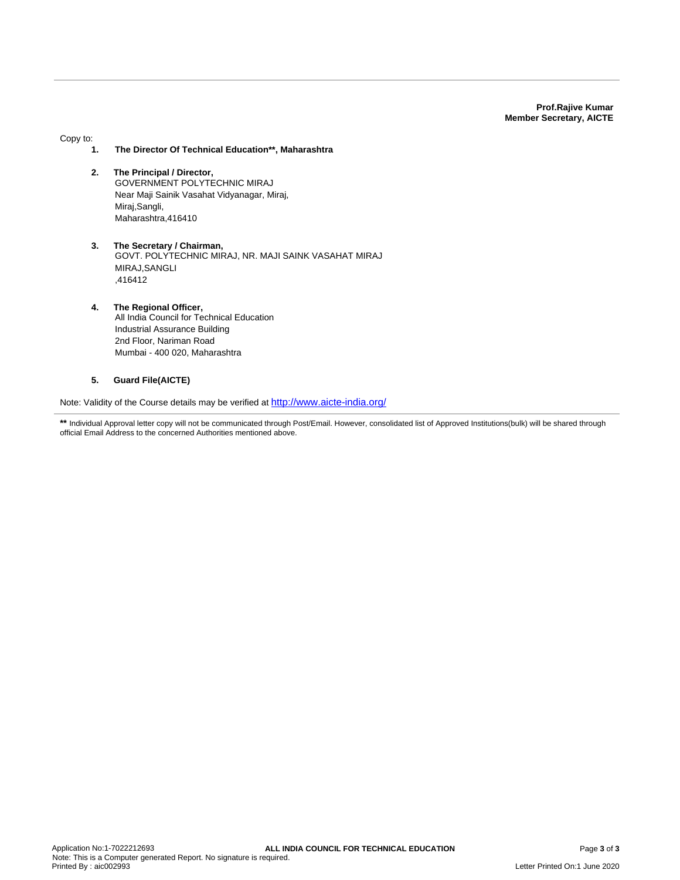**Prof.Rajive Kumar Member Secretary, AICTE**

Copy to:

- **1. The Director Of Technical Education\*\*, Maharashtra**
- **2. The Principal / Director,** GOVERNMENT POLYTECHNIC MIRAJ Near Maji Sainik Vasahat Vidyanagar, Miraj, Miraj,Sangli, Maharashtra,416410
- **3. The Secretary / Chairman,** GOVT. POLYTECHNIC MIRAJ, NR. MAJI SAINK VASAHAT MIRAJ MIRAJ,SANGLI ,416412
- **4. The Regional Officer,** All India Council for Technical Education Industrial Assurance Building 2nd Floor, Nariman Road Mumbai - 400 020, Maharashtra

### **5. Guard File(AICTE)**

Note: Validity of the Course details may be verified at <http://www.aicte-india.org/>

\*\* Individual Approval letter copy will not be communicated through Post/Email. However, consolidated list of Approved Institutions(bulk) will be shared through official Email Address to the concerned Authorities mentioned above.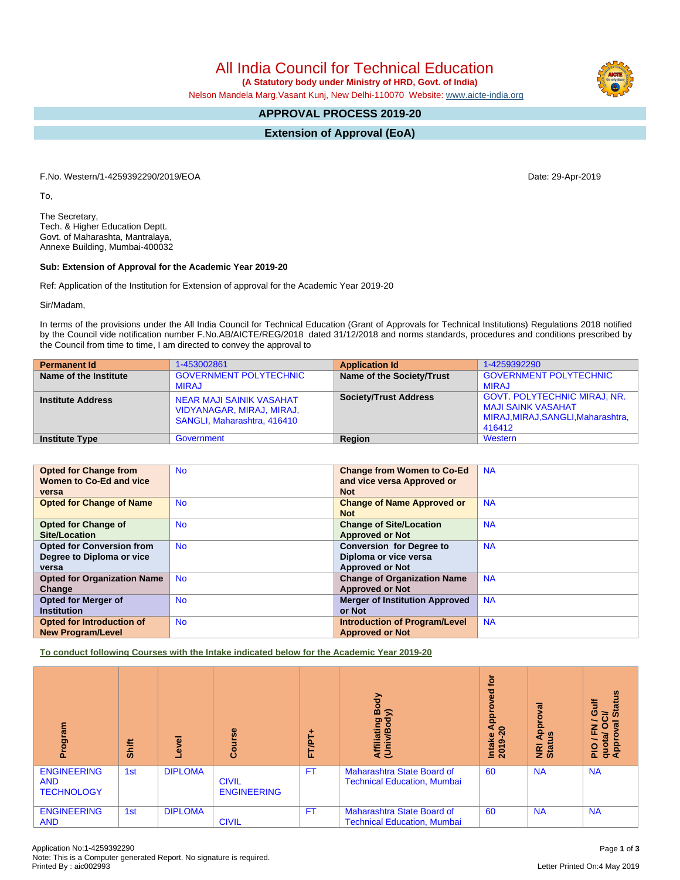All India Council for Technical Education

 **(A Statutory body under Ministry of HRD, Govt. of India)**

Nelson Mandela Marg,Vasant Kunj, New Delhi-110070 Website: [www.aicte-india.org](http://www.aicte-india.org)

# **APPROVAL PROCESS 2019-20**

**Extension of Approval (EoA)**

F.No. Western/1-4259392290/2019/EOA Date: 29-Apr-2019

To,

The Secretary, Tech. & Higher Education Deptt. Govt. of Maharashta, Mantralaya, Annexe Building, Mumbai-400032

### **Sub: Extension of Approval for the Academic Year 2019-20**

Ref: Application of the Institution for Extension of approval for the Academic Year 2019-20

Sir/Madam,

In terms of the provisions under the All India Council for Technical Education (Grant of Approvals for Technical Institutions) Regulations 2018 notified by the Council vide notification number F.No.AB/AICTE/REG/2018 dated 31/12/2018 and norms standards, procedures and conditions prescribed by the Council from time to time, I am directed to convey the approval to

| <b>Permanent Id</b>      | 1-453002861                                                                          | <b>Application Id</b>        | 1-4259392290                                                                                                     |
|--------------------------|--------------------------------------------------------------------------------------|------------------------------|------------------------------------------------------------------------------------------------------------------|
| Name of the Institute    | <b>GOVERNMENT POLYTECHNIC</b><br><b>MIRAJ</b>                                        | Name of the Society/Trust    | <b>GOVERNMENT POLYTECHNIC</b><br><b>MIRAJ</b>                                                                    |
| <b>Institute Address</b> | NEAR MAJI SAINIK VASAHAT<br>VIDYANAGAR, MIRAJ, MIRAJ,<br>SANGLI, Maharashtra, 416410 | <b>Society/Trust Address</b> | <b>GOVT. POLYTECHNIC MIRAJ, NR.</b><br><b>MAJI SAINK VASAHAT</b><br>MIRAJ, MIRAJ, SANGLI, Maharashtra,<br>416412 |
| <b>Institute Type</b>    | Government                                                                           | Region                       | Western                                                                                                          |

| <b>Opted for Change from</b>       | <b>No</b> | <b>Change from Women to Co-Ed</b>     | <b>NA</b> |
|------------------------------------|-----------|---------------------------------------|-----------|
| Women to Co-Ed and vice            |           | and vice versa Approved or            |           |
| versa                              |           | <b>Not</b>                            |           |
| <b>Opted for Change of Name</b>    | <b>No</b> | <b>Change of Name Approved or</b>     | <b>NA</b> |
|                                    |           | <b>Not</b>                            |           |
| <b>Opted for Change of</b>         | <b>No</b> | <b>Change of Site/Location</b>        | <b>NA</b> |
| Site/Location                      |           | <b>Approved or Not</b>                |           |
| <b>Opted for Conversion from</b>   | <b>No</b> | <b>Conversion for Degree to</b>       | <b>NA</b> |
| Degree to Diploma or vice          |           | Diploma or vice versa                 |           |
| versa                              |           | <b>Approved or Not</b>                |           |
| <b>Opted for Organization Name</b> | <b>No</b> | <b>Change of Organization Name</b>    | <b>NA</b> |
| Change                             |           | <b>Approved or Not</b>                |           |
| Opted for Merger of                | <b>No</b> | <b>Merger of Institution Approved</b> | <b>NA</b> |
| <b>Institution</b>                 |           | or Not                                |           |
| Opted for Introduction of          | <b>No</b> | <b>Introduction of Program/Level</b>  | <b>NA</b> |
| <b>New Program/Level</b>           |           | <b>Approved or Not</b>                |           |

**To conduct following Courses with the Intake indicated below for the Academic Year 2019-20**

| Program                                               | <b>Shift</b> | Level          | Course                             | ۰<br><b>FT/PT</b> | Body<br>⋦<br>Affiliating<br>(Univ/Bod <sub>)</sub>               | <b>b</b><br>yed<br>Appro<br>◓<br>Intake<br>2019-2 | ह<br>ē<br>Appr<br>ಀ಼<br>NRI<br>Stat | <b>Status</b><br>₹<br>Ō<br>ੋ<br>œ<br>O<br>z<br>ш<br>quota/<br>Approv<br><b>PIO</b> |
|-------------------------------------------------------|--------------|----------------|------------------------------------|-------------------|------------------------------------------------------------------|---------------------------------------------------|-------------------------------------|------------------------------------------------------------------------------------|
| <b>ENGINEERING</b><br><b>AND</b><br><b>TECHNOLOGY</b> | 1st          | <b>DIPLOMA</b> | <b>CIVIL</b><br><b>ENGINEERING</b> | FT.               | Maharashtra State Board of<br><b>Technical Education, Mumbai</b> | 60                                                | <b>NA</b>                           | <b>NA</b>                                                                          |
| <b>ENGINEERING</b><br><b>AND</b>                      | 1st          | <b>DIPLOMA</b> | <b>CIVIL</b>                       | FT.               | Maharashtra State Board of<br><b>Technical Education, Mumbai</b> | 60                                                | <b>NA</b>                           | <b>NA</b>                                                                          |

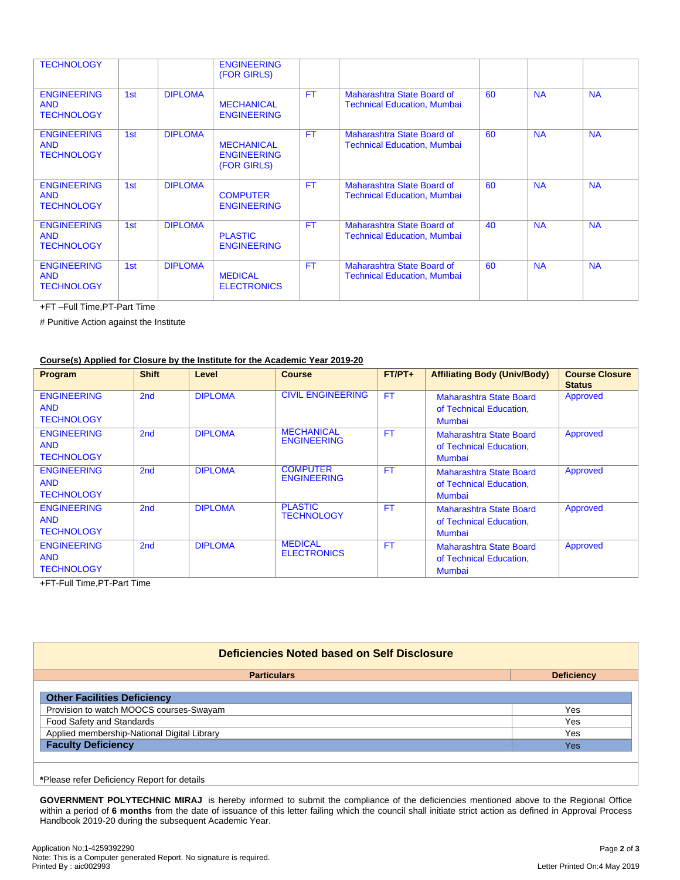| <b>TECHNOLOGY</b>                                     |     |                | <b>ENGINEERING</b><br>(FOR GIRLS)                      |           |                                                                  |    |           |           |
|-------------------------------------------------------|-----|----------------|--------------------------------------------------------|-----------|------------------------------------------------------------------|----|-----------|-----------|
| <b>ENGINEERING</b><br><b>AND</b><br><b>TECHNOLOGY</b> | 1st | <b>DIPLOMA</b> | <b>MECHANICAL</b><br><b>ENGINEERING</b>                | <b>FT</b> | Maharashtra State Board of<br><b>Technical Education, Mumbai</b> | 60 | <b>NA</b> | <b>NA</b> |
| <b>ENGINEERING</b><br><b>AND</b><br><b>TECHNOLOGY</b> | 1st | <b>DIPLOMA</b> | <b>MECHANICAL</b><br><b>ENGINEERING</b><br>(FOR GIRLS) | <b>FT</b> | Maharashtra State Board of<br><b>Technical Education, Mumbai</b> | 60 | <b>NA</b> | <b>NA</b> |
| <b>ENGINEERING</b><br><b>AND</b><br><b>TECHNOLOGY</b> | 1st | <b>DIPLOMA</b> | <b>COMPUTER</b><br><b>ENGINEERING</b>                  | <b>FT</b> | Maharashtra State Board of<br><b>Technical Education, Mumbai</b> | 60 | <b>NA</b> | <b>NA</b> |
| <b>ENGINEERING</b><br><b>AND</b><br><b>TECHNOLOGY</b> | 1st | <b>DIPLOMA</b> | <b>PLASTIC</b><br><b>ENGINEERING</b>                   | <b>FT</b> | Maharashtra State Board of<br><b>Technical Education, Mumbai</b> | 40 | <b>NA</b> | <b>NA</b> |
| <b>ENGINEERING</b><br><b>AND</b><br><b>TECHNOLOGY</b> | 1st | <b>DIPLOMA</b> | <b>MEDICAL</b><br><b>ELECTRONICS</b>                   | <b>FT</b> | Maharashtra State Board of<br><b>Technical Education, Mumbai</b> | 60 | <b>NA</b> | <b>NA</b> |

+FT –Full Time,PT-Part Time

# Punitive Action against the Institute

### **Course(s) Applied for Closure by the Institute for the Academic Year 2019-20**

| Program                                               | <b>Shift</b>    | Level          | <b>Course</b>                           | $FT/PT+$  | <b>Affiliating Body (Univ/Body)</b>                                 | <b>Course Closure</b><br><b>Status</b> |
|-------------------------------------------------------|-----------------|----------------|-----------------------------------------|-----------|---------------------------------------------------------------------|----------------------------------------|
| <b>ENGINEERING</b><br><b>AND</b><br><b>TECHNOLOGY</b> | 2 <sub>nd</sub> | <b>DIPLOMA</b> | <b>CIVIL ENGINEERING</b>                | <b>FT</b> | Maharashtra State Board<br>of Technical Education,<br>Mumbai        | Approved                               |
| <b>ENGINEERING</b><br><b>AND</b><br><b>TECHNOLOGY</b> | 2nd             | <b>DIPLOMA</b> | <b>MECHANICAL</b><br><b>ENGINEERING</b> | <b>FT</b> | Maharashtra State Board<br>of Technical Education,<br><b>Mumbai</b> | Approved                               |
| <b>ENGINEERING</b><br><b>AND</b><br><b>TECHNOLOGY</b> | 2 <sub>nd</sub> | <b>DIPLOMA</b> | <b>COMPUTER</b><br><b>ENGINEERING</b>   | <b>FT</b> | Maharashtra State Board<br>of Technical Education,<br><b>Mumbai</b> | Approved                               |
| <b>ENGINEERING</b><br><b>AND</b><br><b>TECHNOLOGY</b> | 2 <sub>nd</sub> | <b>DIPLOMA</b> | <b>PLASTIC</b><br><b>TECHNOLOGY</b>     | <b>FT</b> | Maharashtra State Board<br>of Technical Education,<br><b>Mumbai</b> | Approved                               |
| <b>ENGINEERING</b><br><b>AND</b><br><b>TECHNOLOGY</b> | 2nd             | <b>DIPLOMA</b> | <b>MEDICAL</b><br><b>ELECTRONICS</b>    | <b>FT</b> | Maharashtra State Board<br>of Technical Education,<br>Mumbai        | Approved                               |

+FT-Full Time,PT-Part Time

| Deficiencies Noted based on Self Disclosure                                                                                                                                                                                          |                   |
|--------------------------------------------------------------------------------------------------------------------------------------------------------------------------------------------------------------------------------------|-------------------|
| <b>Particulars</b>                                                                                                                                                                                                                   | <b>Deficiency</b> |
| <b>Other Facilities Deficiency</b>                                                                                                                                                                                                   |                   |
| Provision to watch MOOCS courses-Swayam                                                                                                                                                                                              | Yes               |
| Food Safety and Standards                                                                                                                                                                                                            | Yes               |
| Applied membership-National Digital Library                                                                                                                                                                                          | Yes               |
| <b>Faculty Deficiency</b>                                                                                                                                                                                                            | Yes               |
|                                                                                                                                                                                                                                      |                   |
| <b>ADILIAN AREA DIRECTOR DE LA CARDINALISTA DE LA CARDINALISTA DE LA CARDINALISTA DE LA CARDINALISTA DE LA CARDINALISTA DE LA CARDINALISTA DE LA CARDINALISTA DE LA CARDINALISTA DE LA CARDINALISTA DE LA CARDINALISTA DE LA CAR</b> |                   |

**\***Please refer Deficiency Report for details

**GOVERNMENT POLYTECHNIC MIRAJ** is hereby informed to submit the compliance of the deficiencies mentioned above to the Regional Office within a period of **6 months** from the date of issuance of this letter failing which the council shall initiate strict action as defined in Approval Process Handbook 2019-20 during the subsequent Academic Year.